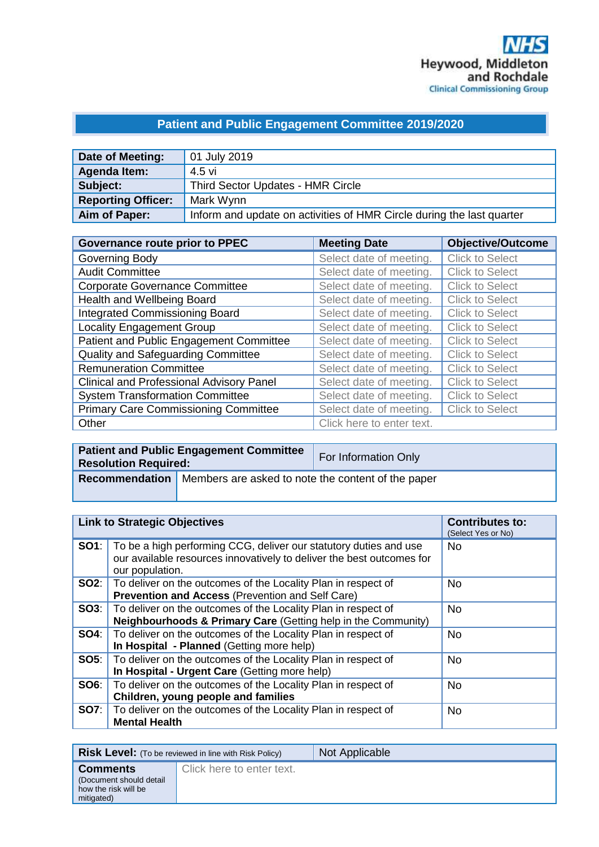## **Patient and Public Engagement Committee 2019/2020**

| Date of Meeting:          | 01 July 2019                                                          |
|---------------------------|-----------------------------------------------------------------------|
| Agenda Item:              | 4.5 vi                                                                |
| Subject:                  | Third Sector Updates - HMR Circle                                     |
| <b>Reporting Officer:</b> | Mark Wynn                                                             |
| Aim of Paper:             | Inform and update on activities of HMR Circle during the last quarter |

| <b>Governance route prior to PPEC</b>           | <b>Meeting Date</b>       | <b>Objective/Outcome</b> |
|-------------------------------------------------|---------------------------|--------------------------|
| Governing Body                                  | Select date of meeting.   | <b>Click to Select</b>   |
| <b>Audit Committee</b>                          | Select date of meeting.   | <b>Click to Select</b>   |
| <b>Corporate Governance Committee</b>           | Select date of meeting.   | <b>Click to Select</b>   |
| Health and Wellbeing Board                      | Select date of meeting.   | <b>Click to Select</b>   |
| <b>Integrated Commissioning Board</b>           | Select date of meeting.   | <b>Click to Select</b>   |
| <b>Locality Engagement Group</b>                | Select date of meeting.   | <b>Click to Select</b>   |
| Patient and Public Engagement Committee         | Select date of meeting.   | <b>Click to Select</b>   |
| Quality and Safeguarding Committee              | Select date of meeting.   | <b>Click to Select</b>   |
| <b>Remuneration Committee</b>                   | Select date of meeting.   | <b>Click to Select</b>   |
| <b>Clinical and Professional Advisory Panel</b> | Select date of meeting.   | <b>Click to Select</b>   |
| <b>System Transformation Committee</b>          | Select date of meeting.   | <b>Click to Select</b>   |
| <b>Primary Care Commissioning Committee</b>     | Select date of meeting.   | <b>Click to Select</b>   |
| Other                                           | Click here to enter text. |                          |

| <b>Resolution Required:</b> | <b>Patient and Public Engagement Committee</b>                             | For Information Only |
|-----------------------------|----------------------------------------------------------------------------|----------------------|
|                             | <b>Recommendation</b>   Members are asked to note the content of the paper |                      |

| <b>Link to Strategic Objectives</b> |                                                                                                                                                               | <b>Contributes to:</b><br>(Select Yes or No) |
|-------------------------------------|---------------------------------------------------------------------------------------------------------------------------------------------------------------|----------------------------------------------|
| SO1:                                | To be a high performing CCG, deliver our statutory duties and use<br>our available resources innovatively to deliver the best outcomes for<br>our population. | <b>No</b>                                    |
| SO2:                                | To deliver on the outcomes of the Locality Plan in respect of<br>Prevention and Access (Prevention and Self Care)                                             | <b>No</b>                                    |
| SO3:                                | To deliver on the outcomes of the Locality Plan in respect of<br><b>Neighbourhoods &amp; Primary Care (Getting help in the Community)</b>                     | <b>No</b>                                    |
| SO4:                                | To deliver on the outcomes of the Locality Plan in respect of<br>In Hospital - Planned (Getting more help)                                                    | <b>No</b>                                    |
| <b>SO5:</b>                         | To deliver on the outcomes of the Locality Plan in respect of<br>In Hospital - Urgent Care (Getting more help)                                                | <b>No</b>                                    |
| SO6:                                | To deliver on the outcomes of the Locality Plan in respect of<br>Children, young people and families                                                          | <b>No</b>                                    |
| SO7:                                | To deliver on the outcomes of the Locality Plan in respect of<br><b>Mental Health</b>                                                                         | <b>No</b>                                    |

|                                                                                  | <b>Risk Level:</b> (To be reviewed in line with Risk Policy) | Not Applicable |
|----------------------------------------------------------------------------------|--------------------------------------------------------------|----------------|
| <b>Comments</b><br>(Document should detail<br>how the risk will be<br>mitigated) | Click here to enter text.                                    |                |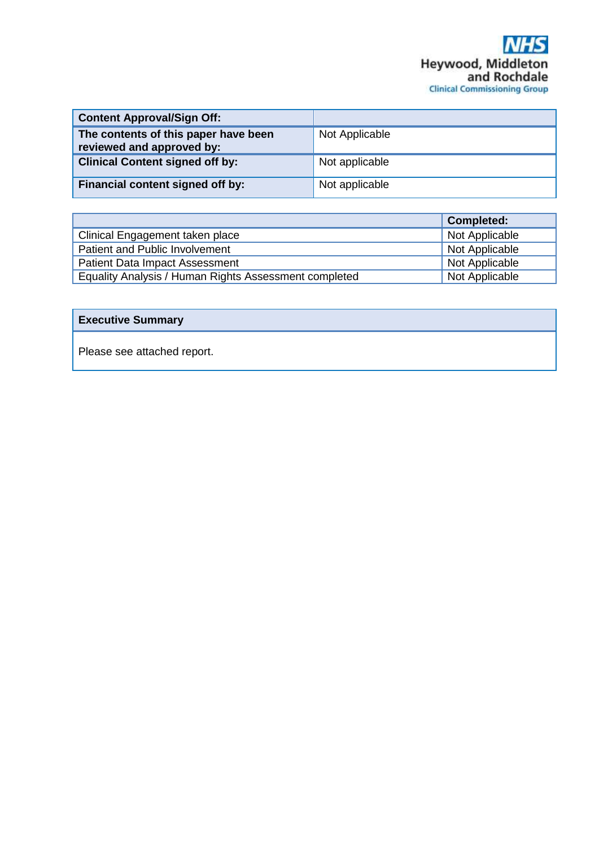| <b>Content Approval/Sign Off:</b>                                 |                |
|-------------------------------------------------------------------|----------------|
| The contents of this paper have been<br>reviewed and approved by: | Not Applicable |
| <b>Clinical Content signed off by:</b>                            | Not applicable |
| Financial content signed off by:                                  | Not applicable |

|                                                       | <b>Completed:</b> |
|-------------------------------------------------------|-------------------|
| Clinical Engagement taken place                       | Not Applicable    |
| Patient and Public Involvement                        | Not Applicable    |
| <b>Patient Data Impact Assessment</b>                 | Not Applicable    |
| Equality Analysis / Human Rights Assessment completed | Not Applicable    |

## **Executive Summary**

Please see attached report.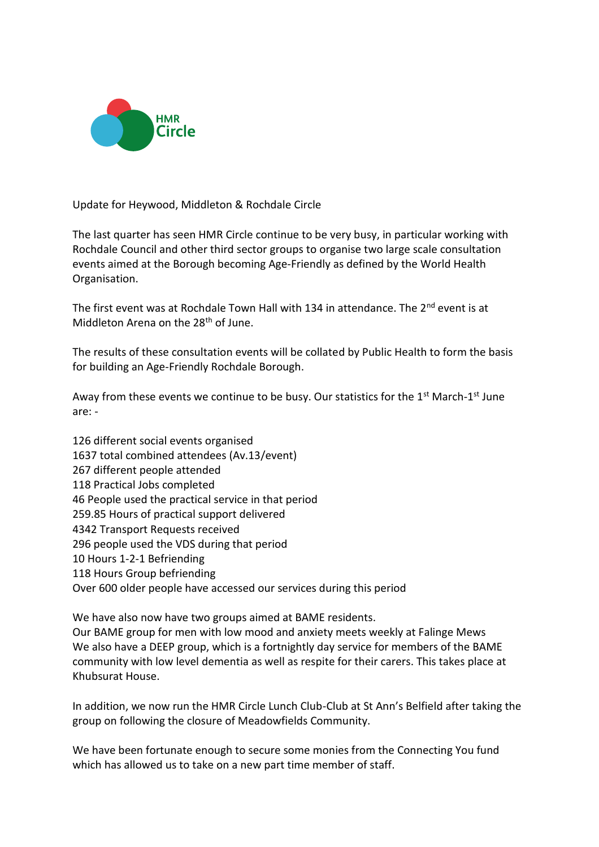

Update for Heywood, Middleton & Rochdale Circle

The last quarter has seen HMR Circle continue to be very busy, in particular working with Rochdale Council and other third sector groups to organise two large scale consultation events aimed at the Borough becoming Age-Friendly as defined by the World Health Organisation.

The first event was at Rochdale Town Hall with 134 in attendance. The 2<sup>nd</sup> event is at Middleton Arena on the  $28<sup>th</sup>$  of June.

The results of these consultation events will be collated by Public Health to form the basis for building an Age-Friendly Rochdale Borough.

Away from these events we continue to be busy. Our statistics for the 1<sup>st</sup> March-1<sup>st</sup> June are: -

126 different social events organised 1637 total combined attendees (Av.13/event) 267 different people attended 118 Practical Jobs completed 46 People used the practical service in that period 259.85 Hours of practical support delivered 4342 Transport Requests received 296 people used the VDS during that period 10 Hours 1-2-1 Befriending 118 Hours Group befriending Over 600 older people have accessed our services during this period

We have also now have two groups aimed at BAME residents. Our BAME group for men with low mood and anxiety meets weekly at Falinge Mews We also have a DEEP group, which is a fortnightly day service for members of the BAME community with low level dementia as well as respite for their carers. This takes place at Khubsurat House.

In addition, we now run the HMR Circle Lunch Club-Club at St Ann's Belfield after taking the group on following the closure of Meadowfields Community.

We have been fortunate enough to secure some monies from the Connecting You fund which has allowed us to take on a new part time member of staff.